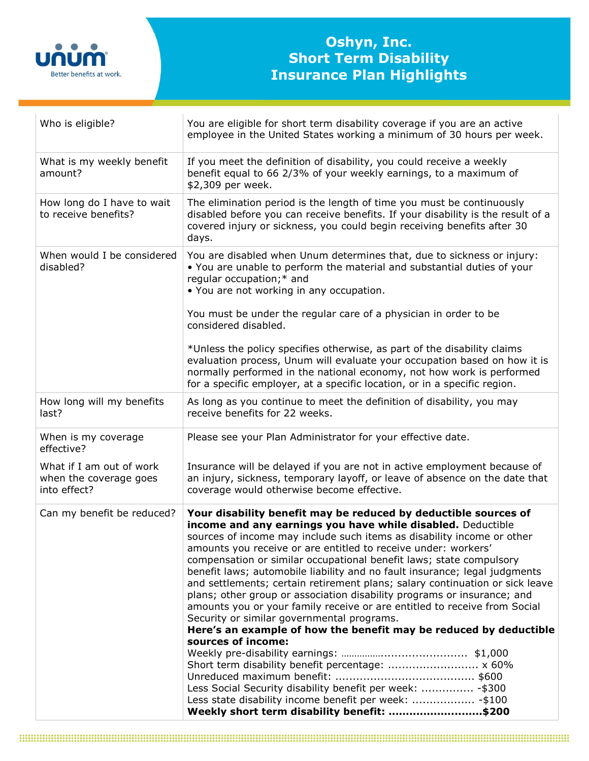

## **Oshyn, Inc. Short Term Disability Insurance Plan Highlights**

| Who is eligible?                                                   | You are eligible for short term disability coverage if you are an active<br>employee in the United States working a minimum of 30 hours per week.                                                                                                                                                                                                                                                                                                                                                                                                                                                                                                                                                                                                                                                 |
|--------------------------------------------------------------------|---------------------------------------------------------------------------------------------------------------------------------------------------------------------------------------------------------------------------------------------------------------------------------------------------------------------------------------------------------------------------------------------------------------------------------------------------------------------------------------------------------------------------------------------------------------------------------------------------------------------------------------------------------------------------------------------------------------------------------------------------------------------------------------------------|
| What is my weekly benefit<br>amount?                               | If you meet the definition of disability, you could receive a weekly<br>benefit equal to 66 2/3% of your weekly earnings, to a maximum of<br>\$2,309 per week.                                                                                                                                                                                                                                                                                                                                                                                                                                                                                                                                                                                                                                    |
| How long do I have to wait<br>to receive benefits?                 | The elimination period is the length of time you must be continuously<br>disabled before you can receive benefits. If your disability is the result of a<br>covered injury or sickness, you could begin receiving benefits after 30<br>days.                                                                                                                                                                                                                                                                                                                                                                                                                                                                                                                                                      |
| When would I be considered<br>disabled?                            | You are disabled when Unum determines that, due to sickness or injury:<br>. You are unable to perform the material and substantial duties of your<br>regular occupation;* and<br>• You are not working in any occupation.                                                                                                                                                                                                                                                                                                                                                                                                                                                                                                                                                                         |
|                                                                    | You must be under the regular care of a physician in order to be<br>considered disabled.                                                                                                                                                                                                                                                                                                                                                                                                                                                                                                                                                                                                                                                                                                          |
|                                                                    | *Unless the policy specifies otherwise, as part of the disability claims<br>evaluation process, Unum will evaluate your occupation based on how it is<br>normally performed in the national economy, not how work is performed<br>for a specific employer, at a specific location, or in a specific region.                                                                                                                                                                                                                                                                                                                                                                                                                                                                                       |
| How long will my benefits<br>last?                                 | As long as you continue to meet the definition of disability, you may<br>receive benefits for 22 weeks.                                                                                                                                                                                                                                                                                                                                                                                                                                                                                                                                                                                                                                                                                           |
| When is my coverage<br>effective?                                  | Please see your Plan Administrator for your effective date.                                                                                                                                                                                                                                                                                                                                                                                                                                                                                                                                                                                                                                                                                                                                       |
| What if I am out of work<br>when the coverage goes<br>into effect? | Insurance will be delayed if you are not in active employment because of<br>an injury, sickness, temporary layoff, or leave of absence on the date that<br>coverage would otherwise become effective.                                                                                                                                                                                                                                                                                                                                                                                                                                                                                                                                                                                             |
| Can my benefit be reduced?                                         | Your disability benefit may be reduced by deductible sources of                                                                                                                                                                                                                                                                                                                                                                                                                                                                                                                                                                                                                                                                                                                                   |
|                                                                    | income and any earnings you have while disabled. Deductible<br>sources of income may include such items as disability income or other<br>amounts you receive or are entitled to receive under: workers'<br>compensation or similar occupational benefit laws; state compulsory<br>benefit laws; automobile liability and no fault insurance; legal judgments<br>and settlements; certain retirement plans; salary continuation or sick leave<br>plans; other group or association disability programs or insurance; and<br>amounts you or your family receive or are entitled to receive from Social<br>Security or similar governmental programs.<br>Here's an example of how the benefit may be reduced by deductible<br>sources of income:<br>Short term disability benefit percentage:  x 60% |
|                                                                    | Less Social Security disability benefit per week:  - \$300<br>Less state disability income benefit per week:  - \$100<br>Weekly short term disability benefit: \$200                                                                                                                                                                                                                                                                                                                                                                                                                                                                                                                                                                                                                              |